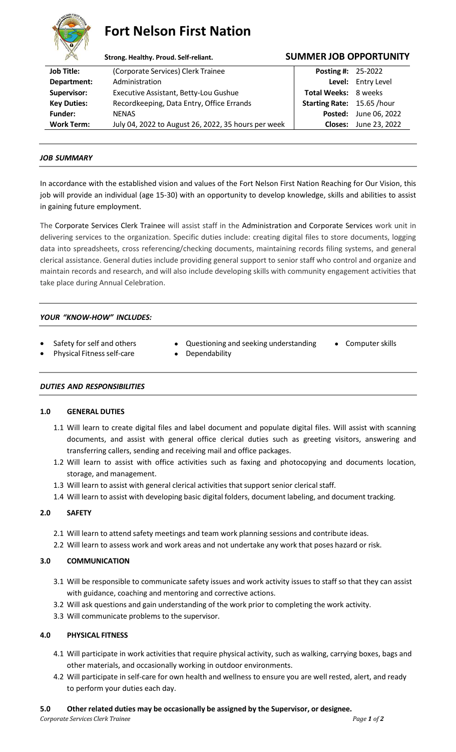

# **Fort Nelson First Nation**

| A                  | Strong. Healthy. Proud. Self-reliant.               |                                   | <b>SUMMER JOB OPPORTUNITY</b> |  |
|--------------------|-----------------------------------------------------|-----------------------------------|-------------------------------|--|
| <b>Job Title:</b>  | (Corporate Services) Clerk Trainee                  | <b>Posting #: 25-2022</b>         |                               |  |
| Department:        | Administration                                      |                                   | Level: Entry Level            |  |
| Supervisor:        | Executive Assistant, Betty-Lou Gushue               | Total Weeks: 8 weeks              |                               |  |
| <b>Key Duties:</b> | Recordkeeping, Data Entry, Office Errands           | <b>Starting Rate: 15.65 /hour</b> |                               |  |
| <b>Funder:</b>     | <b>NENAS</b>                                        | Posted:                           | June 06, 2022                 |  |
| <b>Work Term:</b>  | July 04, 2022 to August 26, 2022, 35 hours per week | <b>Closes:</b>                    | June 23, 2022                 |  |

### *JOB SUMMARY*

In accordance with the established vision and values of the Fort Nelson First Nation Reaching for Our Vision, this job will provide an individual (age 15-30) with an opportunity to develop knowledge, skills and abilities to assist in gaining future employment.

The Corporate Services Clerk Trainee will assist staff in the Administration and Corporate Services work unit in delivering services to the organization. Specific duties include: creating digital files to store documents, logging data into spreadsheets, cross referencing/checking documents, maintaining records filing systems, and general clerical assistance. General duties include providing general support to senior staff who control and organize and maintain records and research, and will also include developing skills with community engagement activities that take place during Annual Celebration.

## *YOUR "KNOW-HOW" INCLUDES:*

- Safety for self and others Questioning and seeking understanding Computer skills
	-

- Physical Fitness self-care Dependability
- 

#### *DUTIES AND RESPONSIBILITIES*

#### **1.0 GENERAL DUTIES**

- 1.1 Will learn to create digital files and label document and populate digital files. Will assist with scanning documents, and assist with general office clerical duties such as greeting visitors, answering and transferring callers, sending and receiving mail and office packages.
- 1.2 Will learn to assist with office activities such as faxing and photocopying and documents location, storage, and management.
- 1.3 Will learn to assist with general clerical activities that support senior clerical staff.
- 1.4 Will learn to assist with developing basic digital folders, document labeling, and document tracking.

## **2.0 SAFETY**

- 2.1 Will learn to attend safety meetings and team work planning sessions and contribute ideas.
- 2.2 Will learn to assess work and work areas and not undertake any work that poses hazard or risk.

#### **3.0 COMMUNICATION**

- 3.1 Will be responsible to communicate safety issues and work activity issues to staff so that they can assist with guidance, coaching and mentoring and corrective actions.
- 3.2 Will ask questions and gain understanding of the work prior to completing the work activity.
- 3.3 Will communicate problems to the supervisor.

#### **4.0 PHYSICAL FITNESS**

- 4.1 Will participate in work activities that require physical activity, such as walking, carrying boxes, bags and other materials, and occasionally working in outdoor environments.
- 4.2 Will participate in self-care for own health and wellness to ensure you are well rested, alert, and ready to perform your duties each day.

#### **5.0 Other related duties may be occasionally be assigned by the Supervisor, or designee.**

*Corporate Services Clerk Trainee Page 1 of 2*